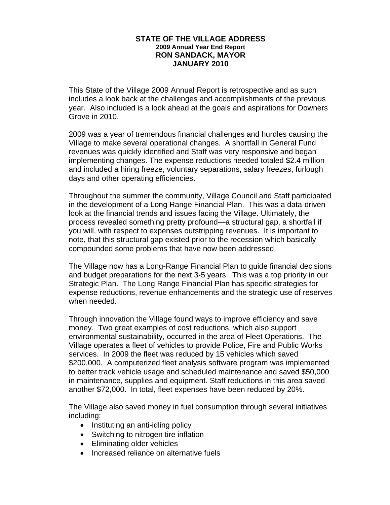## **STATE OF THE VILLAGE ADDRESS 2009 Annual Year End Report RON SANDACK, MAYOR JANUARY 2010**

This State of the Village 2009 Annual Report is retrospective and as such includes a look back at the challenges and accomplishments of the previous year. Also included is a look ahead at the goals and aspirations for Downers Grove in 2010.

2009 was a year of tremendous financial challenges and hurdles causing the Village to make several operational changes. A shortfall in General Fund revenues was quickly identified and Staff was very responsive and began implementing changes. The expense reductions needed totaled \$2.4 million and included a hiring freeze, voluntary separations, salary freezes, furlough days and other operating efficiencies.

Throughout the summer the community, Village Council and Staff participated in the development of a Long Range Financial Plan. This was a data-driven look at the financial trends and issues facing the Village. Ultimately, the process revealed something pretty profound—a structural gap, a shortfall if you will, with respect to expenses outstripping revenues. It is important to note, that this structural gap existed prior to the recession which basically compounded some problems that have now been addressed.

The Village now has a Long-Range Financial Plan to guide financial decisions and budget preparations for the next 3-5 years. This was a top priority in our Strategic Plan. The Long Range Financial Plan has specific strategies for expense reductions, revenue enhancements and the strategic use of reserves when needed.

Through innovation the Village found ways to improve efficiency and save money. Two great examples of cost reductions, which also support environmental sustainability, occurred in the area of Fleet Operations. The Village operates a fleet of vehicles to provide Police, Fire and Public Works services. In 2009 the fleet was reduced by 15 vehicles which saved \$200,000. A computerized fleet analysis software program was implemented to better track vehicle usage and scheduled maintenance and saved \$50,000 in maintenance, supplies and equipment. Staff reductions in this area saved another \$72,000. In total, fleet expenses have been reduced by 20%.

The Village also saved money in fuel consumption through several initiatives including:

- Instituting an anti-idling policy
- Switching to nitrogen tire inflation
- Eliminating older vehicles
- Increased reliance on alternative fuels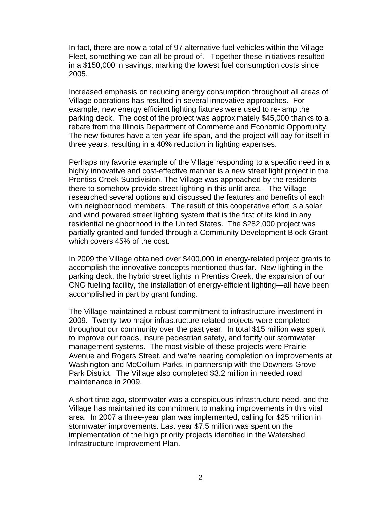In fact, there are now a total of 97 alternative fuel vehicles within the Village Fleet, something we can all be proud of. Together these initiatives resulted in a \$150,000 in savings, marking the lowest fuel consumption costs since 2005.

Increased emphasis on reducing energy consumption throughout all areas of Village operations has resulted in several innovative approaches. For example, new energy efficient lighting fixtures were used to re-lamp the parking deck. The cost of the project was approximately \$45,000 thanks to a rebate from the Illinois Department of Commerce and Economic Opportunity. The new fixtures have a ten-year life span, and the project will pay for itself in three years, resulting in a 40% reduction in lighting expenses.

Perhaps my favorite example of the Village responding to a specific need in a highly innovative and cost-effective manner is a new street light project in the Prentiss Creek Subdivision. The Village was approached by the residents there to somehow provide street lighting in this unlit area. The Village researched several options and discussed the features and benefits of each with neighborhood members. The result of this cooperative effort is a solar and wind powered street lighting system that is the first of its kind in any residential neighborhood in the United States. The \$282,000 project was partially granted and funded through a Community Development Block Grant which covers 45% of the cost.

In 2009 the Village obtained over \$400,000 in energy-related project grants to accomplish the innovative concepts mentioned thus far. New lighting in the parking deck, the hybrid street lights in Prentiss Creek, the expansion of our CNG fueling facility, the installation of energy-efficient lighting—all have been accomplished in part by grant funding.

The Village maintained a robust commitment to infrastructure investment in 2009. Twenty-two major infrastructure-related projects were completed throughout our community over the past year. In total \$15 million was spent to improve our roads, insure pedestrian safety, and fortify our stormwater management systems. The most visible of these projects were Prairie Avenue and Rogers Street, and we're nearing completion on improvements at Washington and McCollum Parks, in partnership with the Downers Grove Park District. The Village also completed \$3.2 million in needed road maintenance in 2009.

A short time ago, stormwater was a conspicuous infrastructure need, and the Village has maintained its commitment to making improvements in this vital area. In 2007 a three-year plan was implemented, calling for \$25 million in stormwater improvements. Last year \$7.5 million was spent on the implementation of the high priority projects identified in the Watershed Infrastructure Improvement Plan.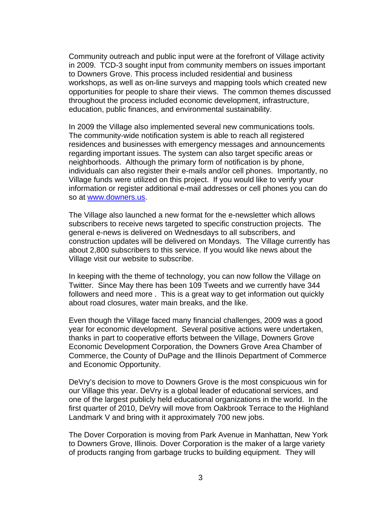Community outreach and public input were at the forefront of Village activity in 2009. TCD-3 sought input from community members on issues important to Downers Grove. This process included residential and business workshops, as well as on-line surveys and mapping tools which created new opportunities for people to share their views. The common themes discussed throughout the process included economic development, infrastructure, education, public finances, and environmental sustainability.

In 2009 the Village also implemented several new communications tools. The community-wide notification system is able to reach all registered residences and businesses with emergency messages and announcements regarding important issues. The system can also target specific areas or neighborhoods. Although the primary form of notification is by phone, individuals can also register their e-mails and/or cell phones. Importantly, no Village funds were utilized on this project. If you would like to verify your information or register additional e-mail addresses or cell phones you can do so at www.downers.us.

The Village also launched a new format for the e-newsletter which allows subscribers to receive news targeted to specific construction projects. The general e-news is delivered on Wednesdays to all subscribers, and construction updates will be delivered on Mondays. The Village currently has about 2,800 subscribers to this service. If you would like news about the Village visit our website to subscribe.

In keeping with the theme of technology, you can now follow the Village on Twitter. Since May there has been 109 Tweets and we currently have 344 followers and need more . This is a great way to get information out quickly about road closures, water main breaks, and the like.

Even though the Village faced many financial challenges, 2009 was a good year for economic development. Several positive actions were undertaken, thanks in part to cooperative efforts between the Village, Downers Grove Economic Development Corporation, the Downers Grove Area Chamber of Commerce, the County of DuPage and the Illinois Department of Commerce and Economic Opportunity.

DeVry's decision to move to Downers Grove is the most conspicuous win for our Village this year. DeVry is a global leader of educational services, and one of the largest publicly held educational organizations in the world. In the first quarter of 2010, DeVry will move from Oakbrook Terrace to the Highland Landmark V and bring with it approximately 700 new jobs.

The Dover Corporation is moving from Park Avenue in Manhattan, New York to Downers Grove, Illinois. Dover Corporation is the maker of a large variety of products ranging from garbage trucks to building equipment. They will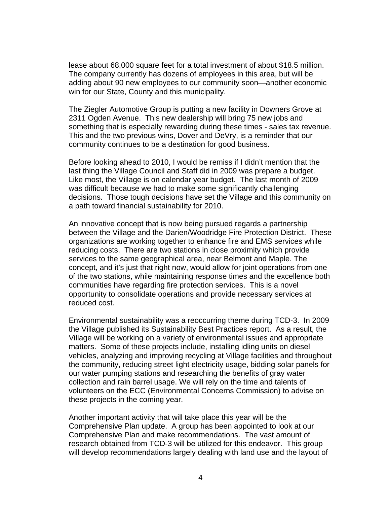lease about 68,000 square feet for a total investment of about \$18.5 million. The company currently has dozens of employees in this area, but will be adding about 90 new employees to our community soon—another economic win for our State, County and this municipality.

The Ziegler Automotive Group is putting a new facility in Downers Grove at 2311 Ogden Avenue. This new dealership will bring 75 new jobs and something that is especially rewarding during these times - sales tax revenue. This and the two previous wins, Dover and DeVry, is a reminder that our community continues to be a destination for good business.

Before looking ahead to 2010, I would be remiss if I didn't mention that the last thing the Village Council and Staff did in 2009 was prepare a budget. Like most, the Village is on calendar year budget. The last month of 2009 was difficult because we had to make some significantly challenging decisions. Those tough decisions have set the Village and this community on a path toward financial sustainability for 2010.

An innovative concept that is now being pursued regards a partnership between the Village and the Darien/Woodridge Fire Protection District. These organizations are working together to enhance fire and EMS services while reducing costs. There are two stations in close proximity which provide services to the same geographical area, near Belmont and Maple. The concept, and it's just that right now, would allow for joint operations from one of the two stations, while maintaining response times and the excellence both communities have regarding fire protection services. This is a novel opportunity to consolidate operations and provide necessary services at reduced cost.

Environmental sustainability was a reoccurring theme during TCD-3. In 2009 the Village published its Sustainability Best Practices report. As a result, the Village will be working on a variety of environmental issues and appropriate matters. Some of these projects include, installing idling units on diesel vehicles, analyzing and improving recycling at Village facilities and throughout the community, reducing street light electricity usage, bidding solar panels for our water pumping stations and researching the benefits of gray water collection and rain barrel usage. We will rely on the time and talents of volunteers on the ECC (Environmental Concerns Commission) to advise on these projects in the coming year.

Another important activity that will take place this year will be the Comprehensive Plan update. A group has been appointed to look at our Comprehensive Plan and make recommendations. The vast amount of research obtained from TCD-3 will be utilized for this endeavor. This group will develop recommendations largely dealing with land use and the layout of